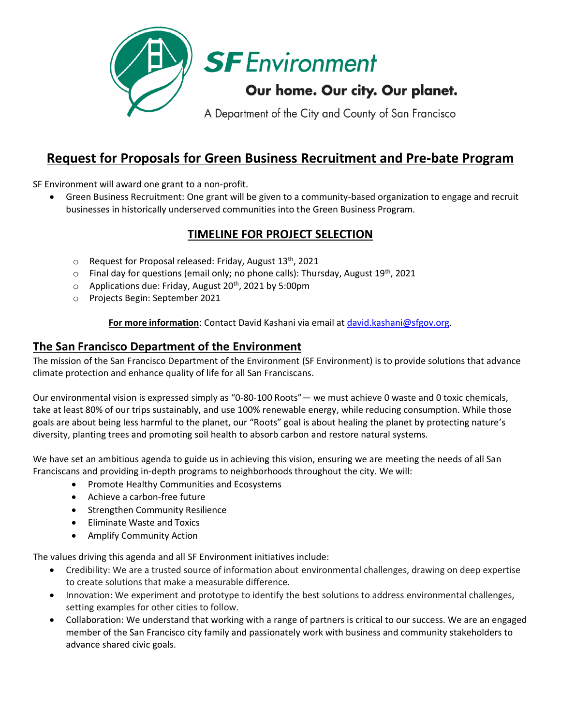

# **Request for Proposals for Green Business Recruitment and Pre-bate Program**

SF Environment will award one grant to a non-profit.

• Green Business Recruitment: One grant will be given to a community-based organization to engage and recruit businesses in historically underserved communities into the Green Business Program.

# **TIMELINE FOR PROJECT SELECTION**

- $\circ$  Request for Proposal released: Friday, August 13<sup>th</sup>, 2021
- $\circ$  Final day for questions (email only; no phone calls): Thursday, August 19<sup>th</sup>, 2021
- o Applications due: Friday, August 20<sup>th</sup>, 2021 by 5:00pm
- o Projects Begin: September 2021

### **For more information**: Contact David Kashani via email a[t david.kashani@sfgov.org.](mailto:david.kashani@sfgov.org)

# **The San Francisco Department of the Environment**

The mission of the San Francisco Department of the Environment (SF Environment) is to provide solutions that advance climate protection and enhance quality of life for all San Franciscans.

Our environmental vision is expressed simply as "0-80-100 Roots"— we must achieve 0 waste and 0 toxic chemicals, take at least 80% of our trips sustainably, and use 100% renewable energy, while reducing consumption. While those goals are about being less harmful to the planet, our "Roots" goal is about healing the planet by protecting nature's diversity, planting trees and promoting soil health to absorb carbon and restore natural systems.

We have set an ambitious agenda to guide us in achieving this vision, ensuring we are meeting the needs of all San Franciscans and providing in-depth programs to neighborhoods throughout the city. We will:

- Promote Healthy Communities and Ecosystems
- Achieve a carbon-free future
- Strengthen Community Resilience
- Eliminate Waste and Toxics
- Amplify Community Action

The values driving this agenda and all SF Environment initiatives include:

- Credibility: We are a trusted source of information about environmental challenges, drawing on deep expertise to create solutions that make a measurable difference.
- Innovation: We experiment and prototype to identify the best solutions to address environmental challenges, setting examples for other cities to follow.
- Collaboration: We understand that working with a range of partners is critical to our success. We are an engaged member of the San Francisco city family and passionately work with business and community stakeholders to advance shared civic goals.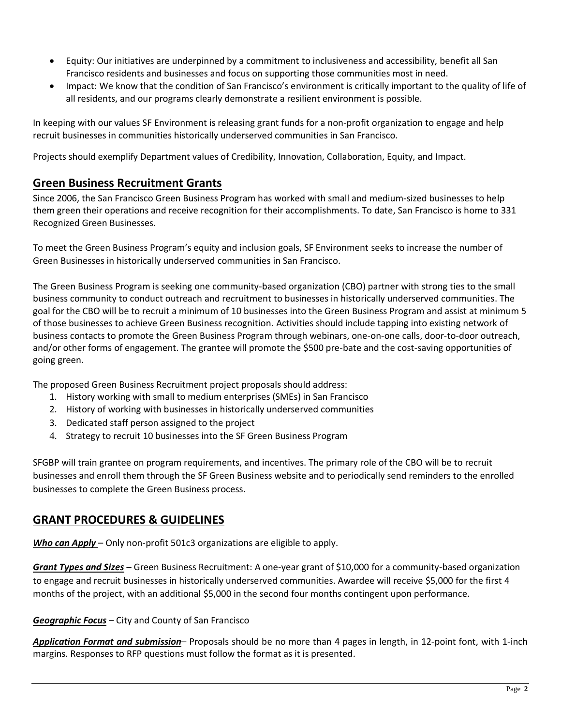- Equity: Our initiatives are underpinned by a commitment to inclusiveness and accessibility, benefit all San Francisco residents and businesses and focus on supporting those communities most in need.
- Impact: We know that the condition of San Francisco's environment is critically important to the quality of life of all residents, and our programs clearly demonstrate a resilient environment is possible.

In keeping with our values SF Environment is releasing grant funds for a non-profit organization to engage and help recruit businesses in communities historically underserved communities in San Francisco.

Projects should exemplify Department values of Credibility, Innovation, Collaboration, Equity, and Impact.

## **Green Business Recruitment Grants**

Since 2006, the San Francisco Green Business Program has worked with small and medium-sized businesses to help them green their operations and receive recognition for their accomplishments. To date, San Francisco is home to 331 Recognized Green Businesses.

To meet the Green Business Program's equity and inclusion goals, SF Environment seeks to increase the number of Green Businesses in historically underserved communities in San Francisco.

The Green Business Program is seeking one community-based organization (CBO) partner with strong ties to the small business community to conduct outreach and recruitment to businesses in historically underserved communities. The goal for the CBO will be to recruit a minimum of 10 businesses into the Green Business Program and assist at minimum 5 of those businesses to achieve Green Business recognition. Activities should include tapping into existing network of business contacts to promote the Green Business Program through webinars, one-on-one calls, door-to-door outreach, and/or other forms of engagement. The grantee will promote the \$500 pre-bate and the cost-saving opportunities of going green.

The proposed Green Business Recruitment project proposals should address:

- 1. History working with small to medium enterprises (SMEs) in San Francisco
- 2. History of working with businesses in historically underserved communities
- 3. Dedicated staff person assigned to the project
- 4. Strategy to recruit 10 businesses into the SF Green Business Program

SFGBP will train grantee on program requirements, and incentives. The primary role of the CBO will be to recruit businesses and enroll them through the SF Green Business website and to periodically send reminders to the enrolled businesses to complete the Green Business process.

# **GRANT PROCEDURES & GUIDELINES**

*Who can Apply* – Only non-profit 501c3 organizations are eligible to apply.

*Grant Types and Sizes –* Green Business Recruitment: A one-year grant of \$10,000 for a community-based organization to engage and recruit businesses in historically underserved communities. Awardee will receive \$5,000 for the first 4 months of the project, with an additional \$5,000 in the second four months contingent upon performance.

#### *Geographic Focus* – City and County of San Francisco

*Application Format and submission*– Proposals should be no more than 4 pages in length, in 12-point font, with 1-inch margins. Responses to RFP questions must follow the format as it is presented.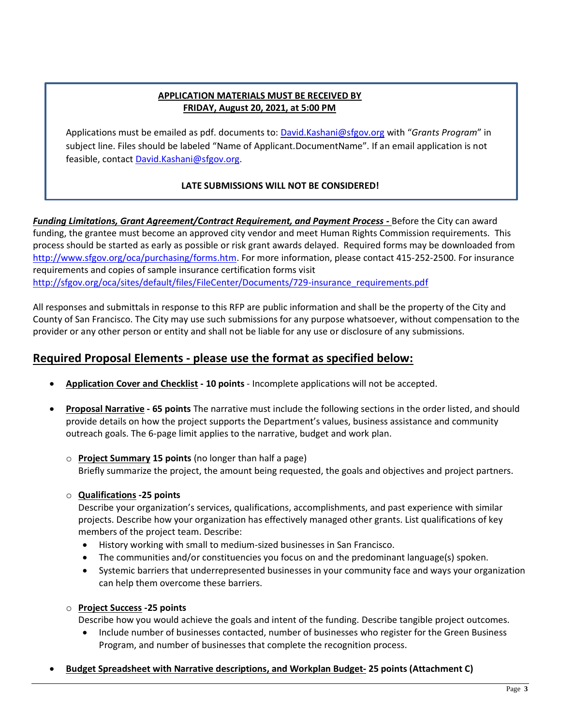### **APPLICATION MATERIALS MUST BE RECEIVED BY FRIDAY, August 20, 2021, at 5:00 PM**

Applications must be emailed as pdf. documents to: [David.Kashani@sfgov.org](mailto:David.Kashani@sfgov.org) with "*Grants Program*" in subject line. Files should be labeled "Name of Applicant.DocumentName". If an email application is not feasible, contact [David.Kashani@sfgov.org.](mailto:David.Kashani@sfgov.org)

### **LATE SUBMISSIONS WILL NOT BE CONSIDERED!**

*Funding Limitations, Grant Agreement/Contract Requirement, and Payment Process -* Before the City can award funding, the grantee must become an approved city vendor and meet Human Rights Commission requirements. This process should be started as early as possible or risk grant awards delayed. Required forms may be downloaded from [http://www.sfgov.org/oca/purchasing/forms.htm.](http://www.sfgov.org/oca/purchasing/forms.htm) For more information, please contact 415-252-2500. For insurance requirements and copies of sample insurance certification forms visit [http://sfgov.org/oca/sites/default/files/FileCenter/Documents/729-insurance\\_requirements.pdf](http://sfgov.org/oca/sites/default/files/FileCenter/Documents/729-insurance_requirements.pdf)

All responses and submittals in response to this RFP are public information and shall be the property of the City and County of San Francisco. The City may use such submissions for any purpose whatsoever, without compensation to the provider or any other person or entity and shall not be liable for any use or disclosure of any submissions.

# **Required Proposal Elements - please use the format as specified below:**

- **Application Cover and Checklist - 10 points** Incomplete applications will not be accepted.
- **Proposal Narrative - 65 points** The narrative must include the following sections in the order listed, and should provide details on how the project supports the Department's values, business assistance and community outreach goals. The 6-page limit applies to the narrative, budget and work plan.
	- o **Project Summary 15 points** (no longer than half a page) Briefly summarize the project, the amount being requested, the goals and objectives and project partners.
	- o **Qualifications -25 points**

Describe your organization's services, qualifications, accomplishments, and past experience with similar projects. Describe how your organization has effectively managed other grants. List qualifications of key members of the project team. Describe:

- History working with small to medium-sized businesses in San Francisco.
- The communities and/or constituencies you focus on and the predominant language(s) spoken.
- Systemic barriers that underrepresented businesses in your community face and ways your organization can help them overcome these barriers.

#### o **Project Success -25 points**

Describe how you would achieve the goals and intent of the funding. Describe tangible project outcomes.

- Include number of businesses contacted, number of businesses who register for the Green Business Program, and number of businesses that complete the recognition process.
- **Budget Spreadsheet with Narrative descriptions, and Workplan Budget- 25 points (Attachment C)**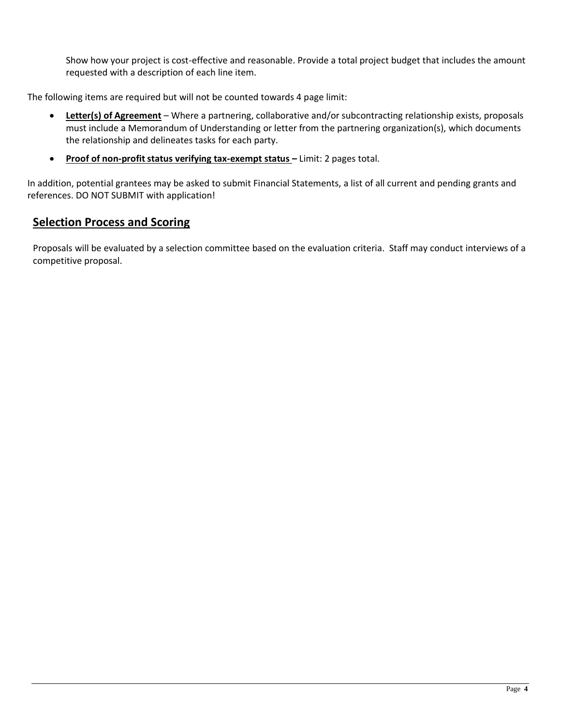Show how your project is cost-effective and reasonable. Provide a total project budget that includes the amount requested with a description of each line item.

The following items are required but will not be counted towards 4 page limit:

- **Letter(s) of Agreement** Where a partnering, collaborative and/or subcontracting relationship exists, proposals must include a Memorandum of Understanding or letter from the partnering organization(s), which documents the relationship and delineates tasks for each party.
- **Proof of non-profit status verifying tax-exempt status Limit: 2 pages total.**

In addition, potential grantees may be asked to submit Financial Statements, a list of all current and pending grants and references. DO NOT SUBMIT with application!

# **Selection Process and Scoring**

Proposals will be evaluated by a selection committee based on the evaluation criteria. Staff may conduct interviews of a competitive proposal.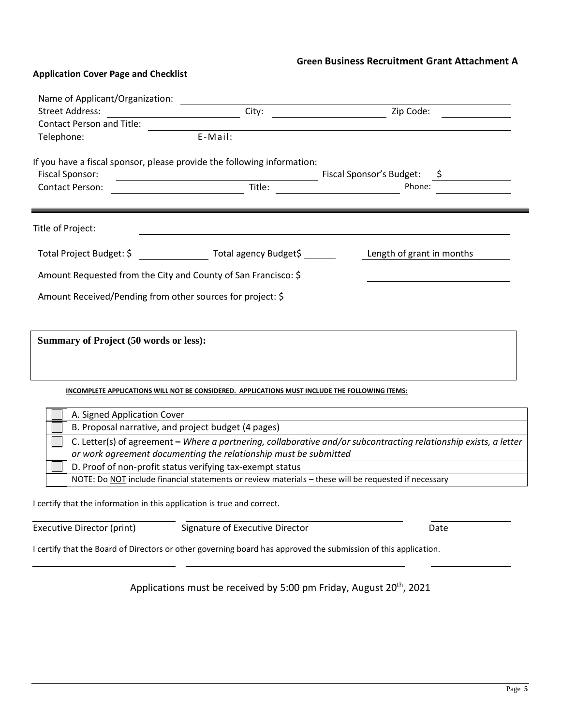# **Green Business Recruitment Grant Attachment A**

### **Application Cover Page and Checklist**

| Name of Applicant/Organization:                                         | <u>and the state of the state</u>                                                                               |                                                                                                                   |
|-------------------------------------------------------------------------|-----------------------------------------------------------------------------------------------------------------|-------------------------------------------------------------------------------------------------------------------|
| <b>Street Address:</b>                                                  |                                                                                                                 |                                                                                                                   |
| Contact Person and Title: <u>_______________</u>                        | <u> 1989 - Johann Stoff, Amerikaansk politiker († 1908)</u>                                                     |                                                                                                                   |
|                                                                         | E-Mail:<br><u> 1980 - Andrea Andrew Maria (h. 1980).</u>                                                        |                                                                                                                   |
|                                                                         | If you have a fiscal sponsor, please provide the following information:                                         |                                                                                                                   |
| <b>Fiscal Sponsor:</b>                                                  | <u>Title: Example 2006</u>                                                                                      | Fiscal Sponsor's Budget: \$                                                                                       |
| <b>Contact Person:</b>                                                  |                                                                                                                 | Phone:                                                                                                            |
| Title of Project:                                                       |                                                                                                                 |                                                                                                                   |
|                                                                         | Total Project Budget: \$ Total agency Budget\$ _______ Length of grant in months                                |                                                                                                                   |
| Amount Requested from the City and County of San Francisco: \$          |                                                                                                                 |                                                                                                                   |
| Amount Received/Pending from other sources for project: \$              |                                                                                                                 |                                                                                                                   |
|                                                                         |                                                                                                                 |                                                                                                                   |
|                                                                         |                                                                                                                 |                                                                                                                   |
| <b>Summary of Project (50 words or less):</b>                           |                                                                                                                 |                                                                                                                   |
|                                                                         |                                                                                                                 |                                                                                                                   |
|                                                                         |                                                                                                                 |                                                                                                                   |
|                                                                         | INCOMPLETE APPLICATIONS WILL NOT BE CONSIDERED. APPLICATIONS MUST INCLUDE THE FOLLOWING ITEMS:                  |                                                                                                                   |
| A. Signed Application Cover                                             |                                                                                                                 |                                                                                                                   |
|                                                                         | B. Proposal narrative, and project budget (4 pages)                                                             |                                                                                                                   |
|                                                                         |                                                                                                                 | C. Letter(s) of agreement - Where a partnering, collaborative and/or subcontracting relationship exists, a letter |
|                                                                         | or work agreement documenting the relationship must be submitted                                                |                                                                                                                   |
|                                                                         | D. Proof of non-profit status verifying tax-exempt status                                                       |                                                                                                                   |
|                                                                         | NOTE: Do NOT include financial statements or review materials - these will be requested if necessary            |                                                                                                                   |
| I certify that the information in this application is true and correct. |                                                                                                                 |                                                                                                                   |
| <b>Executive Director (print)</b>                                       | Signature of Executive Director                                                                                 | Date                                                                                                              |
|                                                                         | I certify that the Board of Directors or other governing board has approved the submission of this application. |                                                                                                                   |
|                                                                         |                                                                                                                 |                                                                                                                   |

Applications must be received by 5:00 pm Friday, August 20<sup>th</sup>, 2021